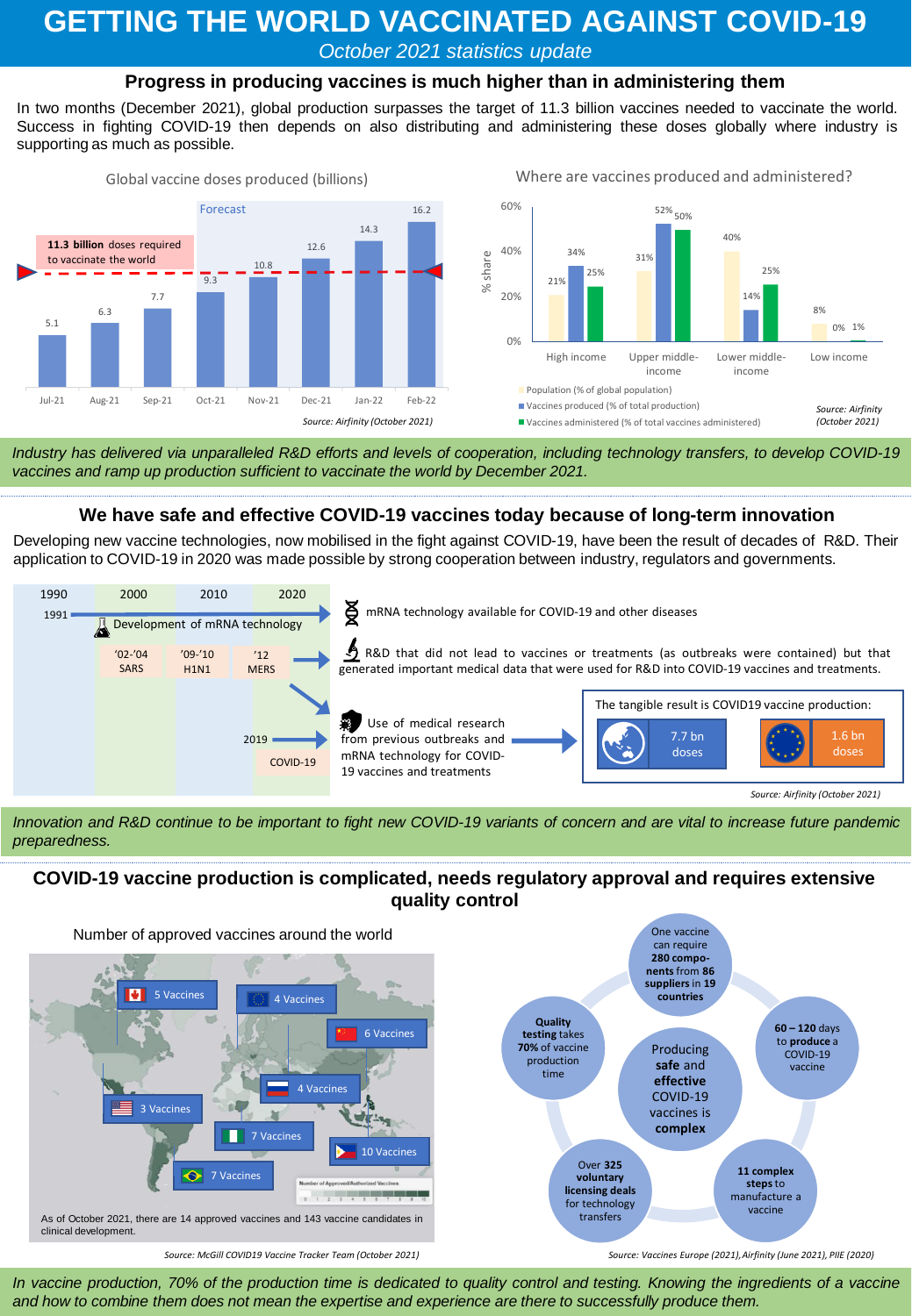# **GETTING THE WORLD VACCINATED AGAINST COVID-19**

*October 2021 statistics update*

## **Progress in producing vaccines is much higher than in administering them**

In two months (December 2021), global production surpasses the target of 11.3 billion vaccines needed to vaccinate the world. Success in fighting COVID-19 then depends on also distributing and administering these doses globally where industry is supporting as much as possible.



Industry has delivered via unparalleled R&D efforts and levels of cooperation, including technology transfers, to develop COVID-19 *vaccines and ramp up production sufficient to vaccinate the world by December 2021.*

#### **We have safe and effective COVID-19 vaccines today because of long-term innovation**

Developing new vaccine technologies, now mobilised in the fight against COVID-19, have been the result of decades of R&D. Their application to COVID-19 in 2020 was made possible by strong cooperation between industry, regulators and governments.



Innovation and R&D continue to be important to fight new COVID-19 variants of concern and are vital to increase future pandemic *preparedness.*

## **COVID-19 vaccine production is complicated, needs regulatory approval and requires extensive quality control**



In vaccine production, 70% of the production time is dedicated to quality control and testing. Knowing the ingredients of a vaccine and how to combine them does not mean the expertise and experience are there to successfully produce them.